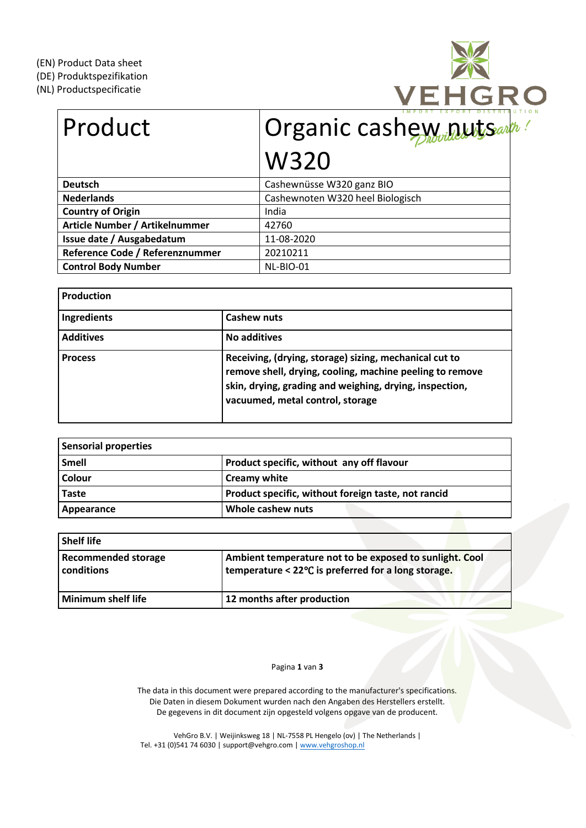(DE) Produktspezifikation

(NL) Productspecificatie



| Product                         | Organic cashewwautsart           |  |  |
|---------------------------------|----------------------------------|--|--|
|                                 | <b>W320</b>                      |  |  |
| <b>Deutsch</b>                  | Cashewnüsse W320 ganz BIO        |  |  |
| <b>Nederlands</b>               | Cashewnoten W320 heel Biologisch |  |  |
| <b>Country of Origin</b>        | India                            |  |  |
| Article Number / Artikelnummer  | 42760                            |  |  |
| Issue date / Ausgabedatum       | 11-08-2020                       |  |  |
| Reference Code / Referenznummer | 20210211                         |  |  |
| <b>Control Body Number</b>      | NL-BIO-01                        |  |  |

| <b>Production</b> |                                                                                                                                                                                                                   |
|-------------------|-------------------------------------------------------------------------------------------------------------------------------------------------------------------------------------------------------------------|
| Ingredients       | Cashew nuts                                                                                                                                                                                                       |
| <b>Additives</b>  | No additives                                                                                                                                                                                                      |
| <b>Process</b>    | Receiving, (drying, storage) sizing, mechanical cut to<br>remove shell, drying, cooling, machine peeling to remove<br>skin, drying, grading and weighing, drying, inspection,<br>vacuumed, metal control, storage |

| <b>Sensorial properties</b> |                                                     |  |  |
|-----------------------------|-----------------------------------------------------|--|--|
| Smell                       | Product specific, without any off flavour           |  |  |
| Colour                      | <b>Creamy white</b>                                 |  |  |
| <b>Taste</b>                | Product specific, without foreign taste, not rancid |  |  |
| Appearance                  | Whole cashew nuts                                   |  |  |

| <b>Shelf life</b>                        |                                                                                                                |
|------------------------------------------|----------------------------------------------------------------------------------------------------------------|
| <b>Recommended storage</b><br>conditions | Ambient temperature not to be exposed to sunlight. Cool<br>temperature < 22°C is preferred for a long storage. |
| <b>Minimum shelf life</b>                | 12 months after production                                                                                     |

Pagina **1** van **3**

The data in this document were prepared according to the manufacturer's specifications. Die Daten in diesem Dokument wurden nach den Angaben des Herstellers erstellt. De gegevens in dit document zijn opgesteld volgens opgave van de producent.

VehGro B.V. | Weijinksweg 18 | NL-7558 PL Hengelo (ov) | The Netherlands | Tel. +31 (0)541 74 6030 | support@vehgro.com [| www.vehgroshop.nl](http://www.vehgroshop.nl/)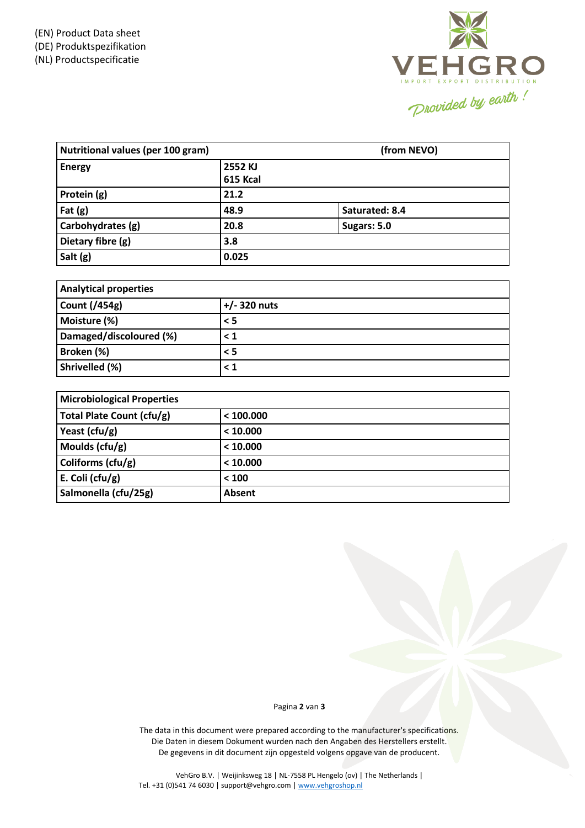

| Nutritional values (per 100 gram) |                     | (from NEVO)    |  |  |
|-----------------------------------|---------------------|----------------|--|--|
| <b>Energy</b>                     | 2552 KJ<br>615 Kcal |                |  |  |
| Protein (g)                       | 21.2                |                |  |  |
| Fat $(g)$                         | 48.9                | Saturated: 8.4 |  |  |
| Carbohydrates (g)                 | 20.8                | Sugars: 5.0    |  |  |
| Dietary fibre (g)                 | 3.8                 |                |  |  |
| Salt (g)                          | 0.025               |                |  |  |

| <b>Analytical properties</b> |                |  |  |
|------------------------------|----------------|--|--|
| <b>Count (/454g)</b>         | $+/- 320$ nuts |  |  |
| Moisture (%)                 | $\leq$ 5       |  |  |
| Damaged/discoloured (%)      | $\leq 1$       |  |  |
| Broken (%)                   | $\leq$ 5       |  |  |
| Shrivelled (%)               | $\leq 1$       |  |  |

| <b>Microbiological Properties</b> |               |  |  |
|-----------------------------------|---------------|--|--|
| Total Plate Count (cfu/g)         | < 100.000     |  |  |
| Yeast (cfu/g)                     | < 10.000      |  |  |
| Moulds $(cfu/g)$                  | < 10.000      |  |  |
| Coliforms $(cfu/g)$               | < 10.000      |  |  |
| E. Coli ( $ctu/g$ )               | < 100         |  |  |
| Salmonella (cfu/25g)              | <b>Absent</b> |  |  |

## Pagina **2** van **3**

The data in this document were prepared according to the manufacturer's specifications. Die Daten in diesem Dokument wurden nach den Angaben des Herstellers erstellt. De gegevens in dit document zijn opgesteld volgens opgave van de producent.